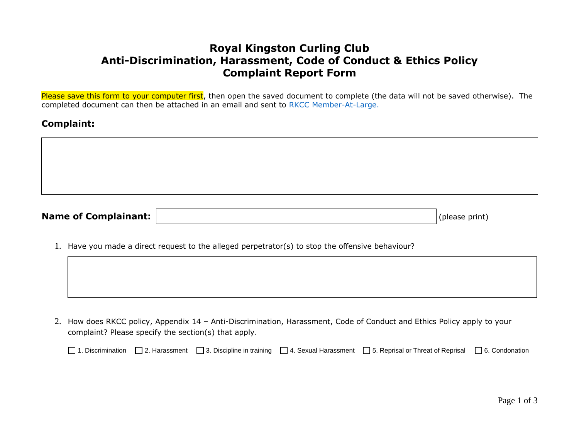## **Royal Kingston Curling Club Anti-Discrimination, Harassment, Code of Conduct & Ethics Policy Complaint Report Form**

Please save this form to your computer first, then open the saved document to complete (the data will not be saved otherwise). The completed document can then be attached in an email and sent to [RKCC Member-At-Large.](mailto:MemberAtLarge@royalkingston.com)

## **Complaint:**

| Name of Complainant: | $ $ (please print) |
|----------------------|--------------------|

1. Have you made a direct request to the alleged perpetrator(s) to stop the offensive behaviour?

2. How does RKCC policy, Appendix 14 – Anti-Discrimination, Harassment, Code of Conduct and Ethics Policy apply to your complaint? Please specify the section(s) that apply.

|  |  |  |  | □ 1. Discrimination □ 2. Harassment □ 3. Discipline in training □ 4. Sexual Harassment □ 5. Reprisal or Threat of Reprisal □ 6. Condonation |  |
|--|--|--|--|---------------------------------------------------------------------------------------------------------------------------------------------|--|
|--|--|--|--|---------------------------------------------------------------------------------------------------------------------------------------------|--|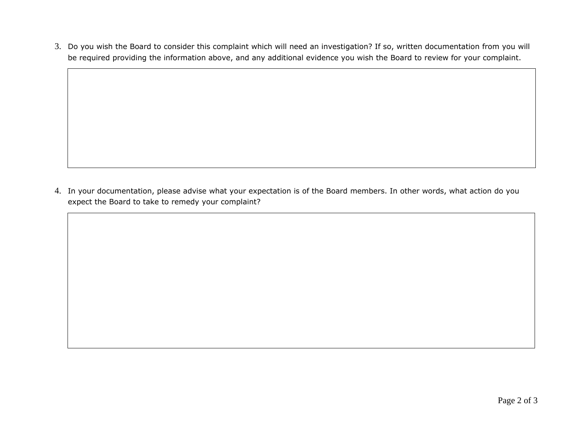3. Do you wish the Board to consider this complaint which will need an investigation? If so, written documentation from you will be required providing the information above, and any additional evidence you wish the Board to review for your complaint.

4. In your documentation, please advise what your expectation is of the Board members. In other words, what action do you expect the Board to take to remedy your complaint?